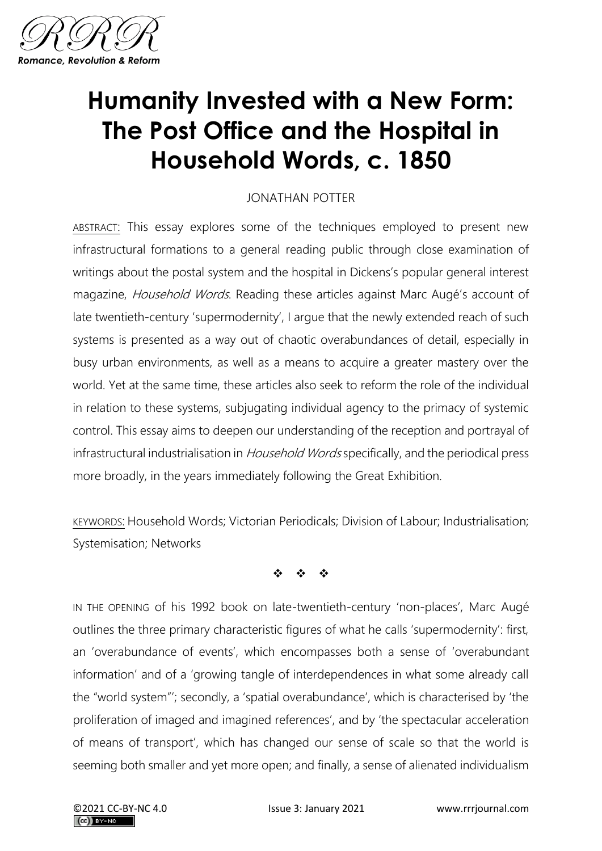

## **Humanity Invested with a New Form: The Post Office and the Hospital in Household Words, c. 1850**

## JONATHAN POTTER

ABSTRACT: This essay explores some of the techniques employed to present new infrastructural formations to a general reading public through close examination of writings about the postal system and the hospital in Dickens's popular general interest magazine, Household Words. Reading these articles against Marc Augé's account of late twentieth-century 'supermodernity', I argue that the newly extended reach of such systems is presented as a way out of chaotic overabundances of detail, especially in busy urban environments, as well as a means to acquire a greater mastery over the world. Yet at the same time, these articles also seek to reform the role of the individual in relation to these systems, subjugating individual agency to the primacy of systemic control. This essay aims to deepen our understanding of the reception and portrayal of infrastructural industrialisation in *Household Words* specifically, and the periodical press more broadly, in the years immediately following the Great Exhibition.

KEYWORDS: Household Words; Victorian Periodicals; Division of Labour; Industrialisation; Systemisation; Networks

❖ ❖ ❖

IN THE OPENING of his 1992 book on late-twentieth-century 'non-places', Marc Augé outlines the three primary characteristic figures of what he calls 'supermodernity': first, an 'overabundance of events', which encompasses both a sense of 'overabundant information' and of a 'growing tangle of interdependences in what some already call the "world system"'; secondly, a 'spatial overabundance', which is characterised by 'the proliferation of imaged and imagined references', and by 'the spectacular acceleration of means of transport', which has changed our sense of scale so that the world is seeming both smaller and yet more open; and finally, a sense of alienated individualism

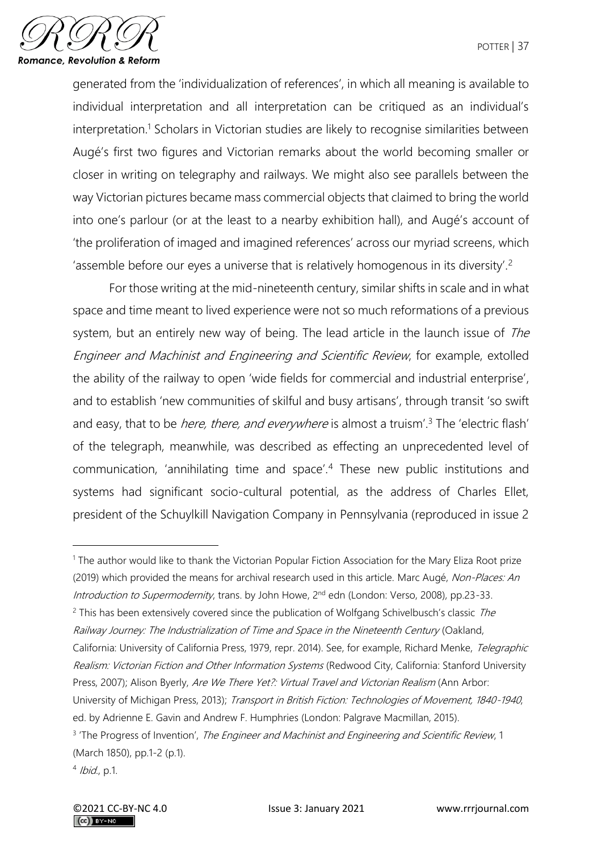

generated from the 'individualization of references', in which all meaning is available to individual interpretation and all interpretation can be critiqued as an individual's interpretation.<sup>1</sup> Scholars in Victorian studies are likely to recognise similarities between Augé's first two figures and Victorian remarks about the world becoming smaller or closer in writing on telegraphy and railways. We might also see parallels between the way Victorian pictures became mass commercial objects that claimed to bring the world into one's parlour (or at the least to a nearby exhibition hall), and Augé's account of 'the proliferation of imaged and imagined references' across our myriad screens, which 'assemble before our eyes a universe that is relatively homogenous in its diversity'.<sup>2</sup>

For those writing at the mid-nineteenth century, similar shifts in scale and in what space and time meant to lived experience were not so much reformations of a previous system, but an entirely new way of being. The lead article in the launch issue of The Engineer and Machinist and Engineering and Scientific Review, for example, extolled the ability of the railway to open 'wide fields for commercial and industrial enterprise', and to establish 'new communities of skilful and busy artisans', through transit 'so swift and easy, that to be *here, there, and everywhere* is almost a truism<sup>'3</sup>. The 'electric flash' of the telegraph, meanwhile, was described as effecting an unprecedented level of communication, 'annihilating time and space'.<sup>4</sup> These new public institutions and systems had significant socio-cultural potential, as the address of Charles Ellet, president of the Schuylkill Navigation Company in Pennsylvania (reproduced in issue 2

<sup>&</sup>lt;sup>1</sup> The author would like to thank the Victorian Popular Fiction Association for the Mary Eliza Root prize (2019) which provided the means for archival research used in this article. Marc Augé, Non-Places: An Introduction to Supermodernity, trans. by John Howe, 2<sup>nd</sup> edn (London: Verso, 2008), pp.23-33.

 $2$  This has been extensively covered since the publication of Wolfgang Schivelbusch's classic The Railway Journey: The Industrialization of Time and Space in the Nineteenth Century (Oakland, California: University of California Press, 1979, repr. 2014). See, for example, Richard Menke, Telegraphic Realism: Victorian Fiction and Other Information Systems (Redwood City, California: Stanford University Press, 2007); Alison Byerly, Are We There Yet?: Virtual Travel and Victorian Realism (Ann Arbor: University of Michigan Press, 2013); Transport in British Fiction: Technologies of Movement, 1840-1940, ed. by Adrienne E. Gavin and Andrew F. Humphries (London: Palgrave Macmillan, 2015).

<sup>&</sup>lt;sup>3</sup> 'The Progress of Invention', The Engineer and Machinist and Engineering and Scientific Review, 1 (March 1850), pp.1-2 (p.1).

<sup>4</sup> Ibid., p.1.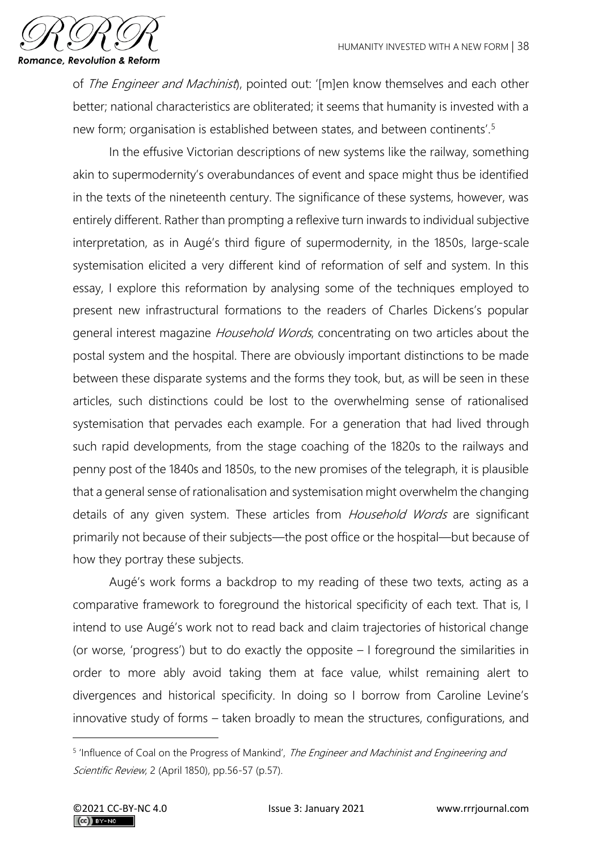

of *The Engineer and Machinist*), pointed out: '[m]en know themselves and each other better; national characteristics are obliterated; it seems that humanity is invested with a new form; organisation is established between states, and between continents'.<sup>5</sup>

In the effusive Victorian descriptions of new systems like the railway, something akin to supermodernity's overabundances of event and space might thus be identified in the texts of the nineteenth century. The significance of these systems, however, was entirely different. Rather than prompting a reflexive turn inwards to individual subjective interpretation, as in Augé's third figure of supermodernity, in the 1850s, large-scale systemisation elicited a very different kind of reformation of self and system. In this essay, I explore this reformation by analysing some of the techniques employed to present new infrastructural formations to the readers of Charles Dickens's popular general interest magazine *Household Words*, concentrating on two articles about the postal system and the hospital. There are obviously important distinctions to be made between these disparate systems and the forms they took, but, as will be seen in these articles, such distinctions could be lost to the overwhelming sense of rationalised systemisation that pervades each example. For a generation that had lived through such rapid developments, from the stage coaching of the 1820s to the railways and penny post of the 1840s and 1850s, to the new promises of the telegraph, it is plausible that a general sense of rationalisation and systemisation might overwhelm the changing details of any given system. These articles from *Household Words* are significant primarily not because of their subjects—the post office or the hospital—but because of how they portray these subjects.

Augé's work forms a backdrop to my reading of these two texts, acting as a comparative framework to foreground the historical specificity of each text. That is, I intend to use Augé's work not to read back and claim trajectories of historical change (or worse, 'progress') but to do exactly the opposite – I foreground the similarities in order to more ably avoid taking them at face value, whilst remaining alert to divergences and historical specificity. In doing so I borrow from Caroline Levine's innovative study of forms – taken broadly to mean the structures, configurations, and

<sup>&</sup>lt;sup>5</sup> 'Influence of Coal on the Progress of Mankind', The Engineer and Machinist and Engineering and Scientific Review, 2 (April 1850), pp.56-57 (p.57).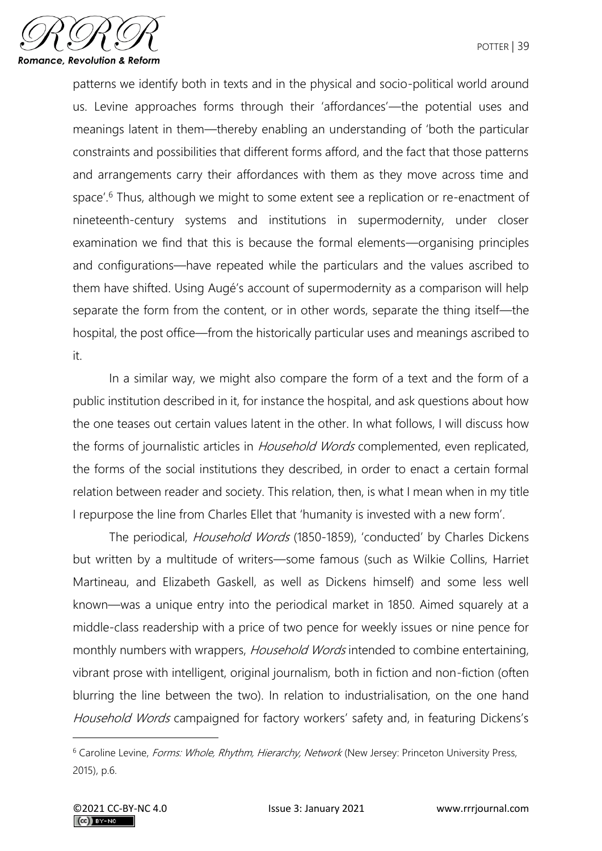

patterns we identify both in texts and in the physical and socio-political world around us. Levine approaches forms through their 'affordances'—the potential uses and meanings latent in them—thereby enabling an understanding of 'both the particular constraints and possibilities that different forms afford, and the fact that those patterns and arrangements carry their affordances with them as they move across time and space'.<sup>6</sup> Thus, although we might to some extent see a replication or re-enactment of nineteenth-century systems and institutions in supermodernity, under closer examination we find that this is because the formal elements—organising principles and configurations—have repeated while the particulars and the values ascribed to them have shifted. Using Augé's account of supermodernity as a comparison will help separate the form from the content, or in other words, separate the thing itself—the hospital, the post office—from the historically particular uses and meanings ascribed to it.

In a similar way, we might also compare the form of a text and the form of a public institution described in it, for instance the hospital, and ask questions about how the one teases out certain values latent in the other. In what follows, I will discuss how the forms of journalistic articles in Household Words complemented, even replicated, the forms of the social institutions they described, in order to enact a certain formal relation between reader and society. This relation, then, is what I mean when in my title I repurpose the line from Charles Ellet that 'humanity is invested with a new form'.

The periodical, Household Words (1850-1859), 'conducted' by Charles Dickens but written by a multitude of writers—some famous (such as Wilkie Collins, Harriet Martineau, and Elizabeth Gaskell, as well as Dickens himself) and some less well known—was a unique entry into the periodical market in 1850. Aimed squarely at a middle-class readership with a price of two pence for weekly issues or nine pence for monthly numbers with wrappers, Household Words intended to combine entertaining, vibrant prose with intelligent, original journalism, both in fiction and non-fiction (often blurring the line between the two). In relation to industrialisation, on the one hand Household Words campaigned for factory workers' safety and, in featuring Dickens's

<sup>&</sup>lt;sup>6</sup> Caroline Levine, Forms: Whole, Rhythm, Hierarchy, Network (New Jersey: Princeton University Press, 2015), p.6.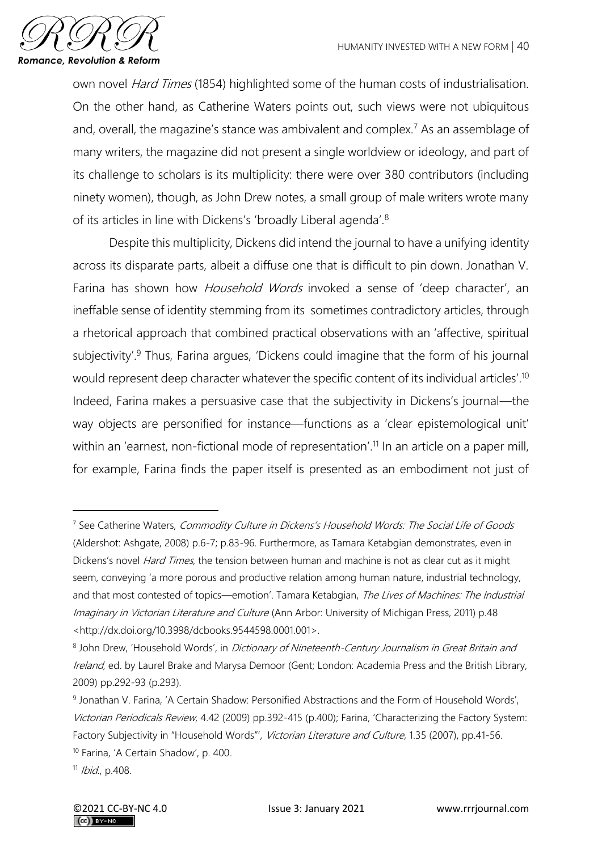

own novel Hard Times (1854) highlighted some of the human costs of industrialisation. On the other hand, as Catherine Waters points out, such views were not ubiquitous and, overall, the magazine's stance was ambivalent and complex.<sup>7</sup> As an assemblage of many writers, the magazine did not present a single worldview or ideology, and part of its challenge to scholars is its multiplicity: there were over 380 contributors (including ninety women), though, as John Drew notes, a small group of male writers wrote many of its articles in line with Dickens's 'broadly Liberal agenda'.<sup>8</sup>

Despite this multiplicity, Dickens did intend the journal to have a unifying identity across its disparate parts, albeit a diffuse one that is difficult to pin down. Jonathan V. Farina has shown how *Household Words* invoked a sense of 'deep character', an ineffable sense of identity stemming from its sometimes contradictory articles, through a rhetorical approach that combined practical observations with an 'affective, spiritual subjectivity'.<sup>9</sup> Thus, Farina argues, 'Dickens could imagine that the form of his journal would represent deep character whatever the specific content of its individual articles'.<sup>10</sup> Indeed, Farina makes a persuasive case that the subjectivity in Dickens's journal—the way objects are personified for instance—functions as a 'clear epistemological unit' within an 'earnest, non-fictional mode of representation'.<sup>11</sup> In an article on a paper mill, for example, Farina finds the paper itself is presented as an embodiment not just of

<sup>&</sup>lt;sup>7</sup> See Catherine Waters, Commodity Culture in Dickens's Household Words: The Social Life of Goods (Aldershot: Ashgate, 2008) p.6-7; p.83-96. Furthermore, as Tamara Ketabgian demonstrates, even in Dickens's novel *Hard Times*, the tension between human and machine is not as clear cut as it might seem, conveying 'a more porous and productive relation among human nature, industrial technology, and that most contested of topics—emotion'. Tamara Ketabgian, The Lives of Machines: The Industrial Imaginary in Victorian Literature and Culture (Ann Arbor: University of Michigan Press, 2011) p.48 <http://dx.doi.org/10.3998/dcbooks.9544598.0001.001>.

<sup>&</sup>lt;sup>8</sup> John Drew, 'Household Words', in *Dictionary of Nineteenth-Century Journalism in Great Britain and* Ireland, ed. by Laurel Brake and Marysa Demoor (Gent; London: Academia Press and the British Library, 2009) pp.292-93 (p.293).

<sup>9</sup> Jonathan V. Farina, 'A Certain Shadow: Personified Abstractions and the Form of Household Words', Victorian Periodicals Review, 4.42 (2009) pp.392-415 (p.400); Farina, 'Characterizing the Factory System: Factory Subjectivity in "Household Words"', Victorian Literature and Culture, 1.35 (2007), pp.41-56. <sup>10</sup> Farina, 'A Certain Shadow', p. 400.

 $11$  Ibid., p.408.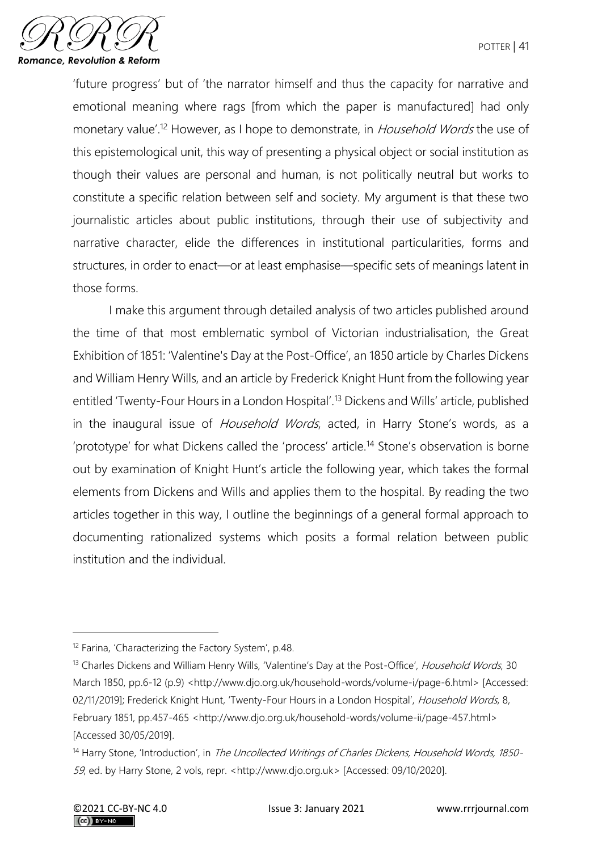

'future progress' but of 'the narrator himself and thus the capacity for narrative and emotional meaning where rags [from which the paper is manufactured] had only monetary value'.<sup>12</sup> However, as I hope to demonstrate, in *Household Words* the use of this epistemological unit, this way of presenting a physical object or social institution as though their values are personal and human, is not politically neutral but works to constitute a specific relation between self and society. My argument is that these two journalistic articles about public institutions, through their use of subjectivity and narrative character, elide the differences in institutional particularities, forms and structures, in order to enact—or at least emphasise—specific sets of meanings latent in those forms.

I make this argument through detailed analysis of two articles published around the time of that most emblematic symbol of Victorian industrialisation, the Great Exhibition of 1851: 'Valentine's Day at the Post-Office', an 1850 article by Charles Dickens and William Henry Wills, and an article by Frederick Knight Hunt from the following year entitled 'Twenty-Four Hours in a London Hospital'.<sup>13</sup> Dickens and Wills' article, published in the inaugural issue of *Household Words*, acted, in Harry Stone's words, as a 'prototype' for what Dickens called the 'process' article.<sup>14</sup> Stone's observation is borne out by examination of Knight Hunt's article the following year, which takes the formal elements from Dickens and Wills and applies them to the hospital. By reading the two articles together in this way, I outline the beginnings of a general formal approach to documenting rationalized systems which posits a formal relation between public institution and the individual.

<sup>12</sup> Farina, 'Characterizing the Factory System', p.48.

<sup>&</sup>lt;sup>13</sup> Charles Dickens and William Henry Wills, 'Valentine's Day at the Post-Office', Household Words, 30 March 1850, pp.6-12 (p.9) <http://www.djo.org.uk/household-words/volume-i/page-6.html> [Accessed: 02/11/2019]; Frederick Knight Hunt, 'Twenty-Four Hours in a London Hospital', Household Words, 8, February 1851, pp.457-465 <http://www.djo.org.uk/household-words/volume-ii/page-457.html> [Accessed 30/05/2019].

<sup>&</sup>lt;sup>14</sup> Harry Stone, 'Introduction', in The Uncollected Writings of Charles Dickens, Household Words, 1850-59, ed. by Harry Stone, 2 vols, repr. <http://www.djo.org.uk> [Accessed: 09/10/2020].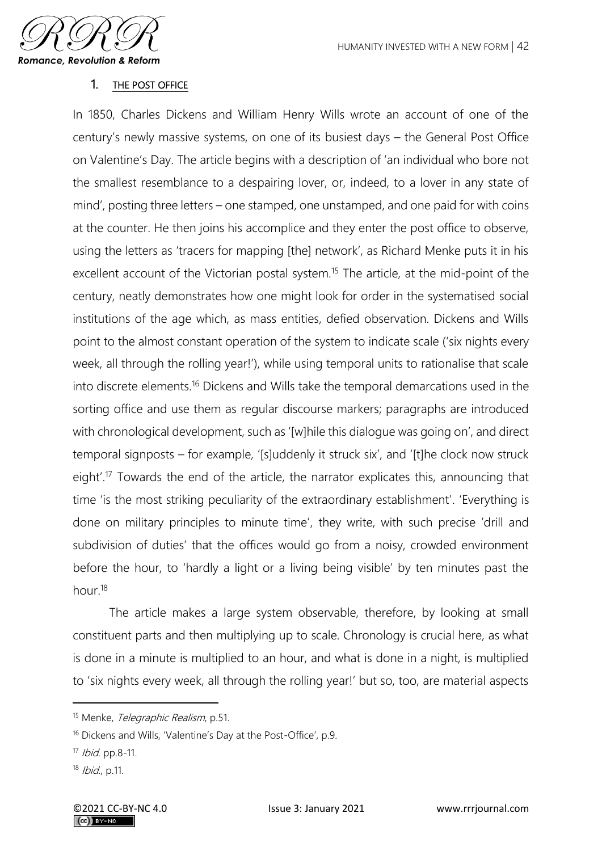

## 1. THE POST OFFICE

In 1850, Charles Dickens and William Henry Wills wrote an account of one of the century's newly massive systems, on one of its busiest days – the General Post Office on Valentine's Day. The article begins with a description of 'an individual who bore not the smallest resemblance to a despairing lover, or, indeed, to a lover in any state of mind', posting three letters – one stamped, one unstamped, and one paid for with coins at the counter. He then joins his accomplice and they enter the post office to observe, using the letters as 'tracers for mapping [the] network', as Richard Menke puts it in his excellent account of the Victorian postal system.<sup>15</sup> The article, at the mid-point of the century, neatly demonstrates how one might look for order in the systematised social institutions of the age which, as mass entities, defied observation. Dickens and Wills point to the almost constant operation of the system to indicate scale ('six nights every week, all through the rolling year!'), while using temporal units to rationalise that scale into discrete elements.<sup>16</sup> Dickens and Wills take the temporal demarcations used in the sorting office and use them as regular discourse markers; paragraphs are introduced with chronological development, such as '[w]hile this dialogue was going on', and direct temporal signposts – for example, '[s]uddenly it struck six', and '[t]he clock now struck eight'.<sup>17</sup> Towards the end of the article, the narrator explicates this, announcing that time 'is the most striking peculiarity of the extraordinary establishment'. 'Everything is done on military principles to minute time', they write, with such precise 'drill and subdivision of duties' that the offices would go from a noisy, crowded environment before the hour, to 'hardly a light or a living being visible' by ten minutes past the hour.<sup>18</sup>

The article makes a large system observable, therefore, by looking at small constituent parts and then multiplying up to scale. Chronology is crucial here, as what is done in a minute is multiplied to an hour, and what is done in a night, is multiplied to 'six nights every week, all through the rolling year!' but so, too, are material aspects

<sup>&</sup>lt;sup>15</sup> Menke, *Telegraphic Realism*, p.51.

<sup>16</sup> Dickens and Wills, 'Valentine's Day at the Post-Office', p.9.

<sup>17</sup> *Ibid.* pp.8-11.

<sup>18</sup> Ibid., p.11.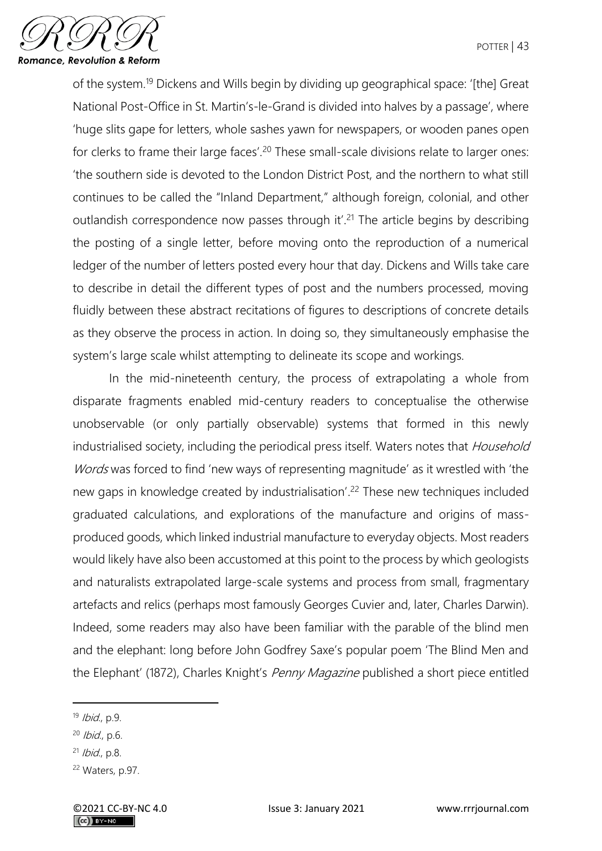

of the system.<sup>19</sup> Dickens and Wills begin by dividing up geographical space: '[the] Great National Post-Office in St. Martin's-le-Grand is divided into halves by a passage', where 'huge slits gape for letters, whole sashes yawn for newspapers, or wooden panes open for clerks to frame their large faces'.<sup>20</sup> These small-scale divisions relate to larger ones: 'the southern side is devoted to the London District Post, and the northern to what still continues to be called the "Inland Department," although foreign, colonial, and other outlandish correspondence now passes through it'.<sup>21</sup> The article begins by describing the posting of a single letter, before moving onto the reproduction of a numerical ledger of the number of letters posted every hour that day. Dickens and Wills take care to describe in detail the different types of post and the numbers processed, moving fluidly between these abstract recitations of figures to descriptions of concrete details as they observe the process in action. In doing so, they simultaneously emphasise the system's large scale whilst attempting to delineate its scope and workings.

In the mid-nineteenth century, the process of extrapolating a whole from disparate fragments enabled mid-century readers to conceptualise the otherwise unobservable (or only partially observable) systems that formed in this newly industrialised society, including the periodical press itself. Waters notes that Household Words was forced to find 'new ways of representing magnitude' as it wrestled with 'the new gaps in knowledge created by industrialisation'. <sup>22</sup> These new techniques included graduated calculations, and explorations of the manufacture and origins of massproduced goods, which linked industrial manufacture to everyday objects. Most readers would likely have also been accustomed at this point to the process by which geologists and naturalists extrapolated large-scale systems and process from small, fragmentary artefacts and relics (perhaps most famously Georges Cuvier and, later, Charles Darwin). Indeed, some readers may also have been familiar with the parable of the blind men and the elephant: long before John Godfrey Saxe's popular poem 'The Blind Men and the Elephant' (1872), Charles Knight's *Penny Magazine* published a short piece entitled

 $19$  Ibid., p.9.

 $20$  *Ibid.*, p.6.

<sup>21</sup> Ibid., p.8.

<sup>22</sup> Waters, p.97.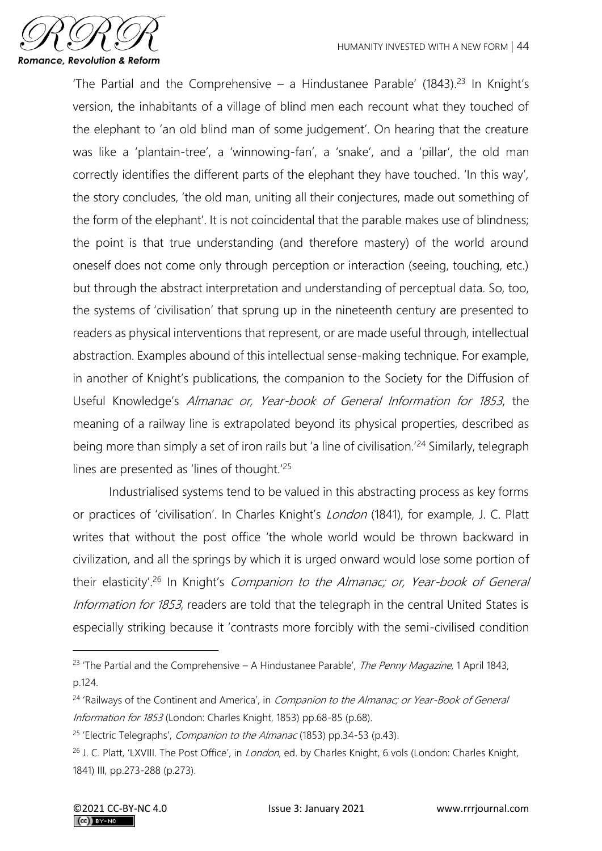

'The Partial and the Comprehensive – a Hindustanee Parable' (1843).<sup>23</sup> In Knight's version, the inhabitants of a village of blind men each recount what they touched of the elephant to 'an old blind man of some judgement'. On hearing that the creature was like a 'plantain-tree', a 'winnowing-fan', a 'snake', and a 'pillar', the old man correctly identifies the different parts of the elephant they have touched. 'In this way', the story concludes, 'the old man, uniting all their conjectures, made out something of the form of the elephant'. It is not coincidental that the parable makes use of blindness; the point is that true understanding (and therefore mastery) of the world around oneself does not come only through perception or interaction (seeing, touching, etc.) but through the abstract interpretation and understanding of perceptual data. So, too, the systems of 'civilisation' that sprung up in the nineteenth century are presented to readers as physical interventions that represent, or are made useful through, intellectual abstraction. Examples abound of this intellectual sense-making technique. For example, in another of Knight's publications, the companion to the Society for the Diffusion of Useful Knowledge's Almanac or, Year-book of General Information for 1853, the meaning of a railway line is extrapolated beyond its physical properties, described as being more than simply a set of iron rails but 'a line of civilisation.<sup>'24</sup> Similarly, telegraph lines are presented as 'lines of thought.'<sup>25</sup>

Industrialised systems tend to be valued in this abstracting process as key forms or practices of 'civilisation'. In Charles Knight's London (1841), for example, J. C. Platt writes that without the post office 'the whole world would be thrown backward in civilization, and all the springs by which it is urged onward would lose some portion of their elasticity<sup>'.26</sup> In Knight's Companion to the Almanac; or, Year-book of General Information for 1853, readers are told that the telegraph in the central United States is especially striking because it 'contrasts more forcibly with the semi-civilised condition

<sup>&</sup>lt;sup>23</sup> 'The Partial and the Comprehensive – A Hindustanee Parable', *The Penny Magazine*, 1 April 1843, p.124.

 $24$  'Railways of the Continent and America', in *Companion to the Almanac; or Year-Book of General* Information for 1853 (London: Charles Knight, 1853) pp.68-85 (p.68).

<sup>&</sup>lt;sup>25</sup> 'Electric Telegraphs', *Companion to the Almanac* (1853) pp.34-53 (p.43).

<sup>&</sup>lt;sup>26</sup> J. C. Platt, 'LXVIII. The Post Office', in *London*, ed. by Charles Knight, 6 vols (London: Charles Knight, 1841) III, pp.273-288 (p.273).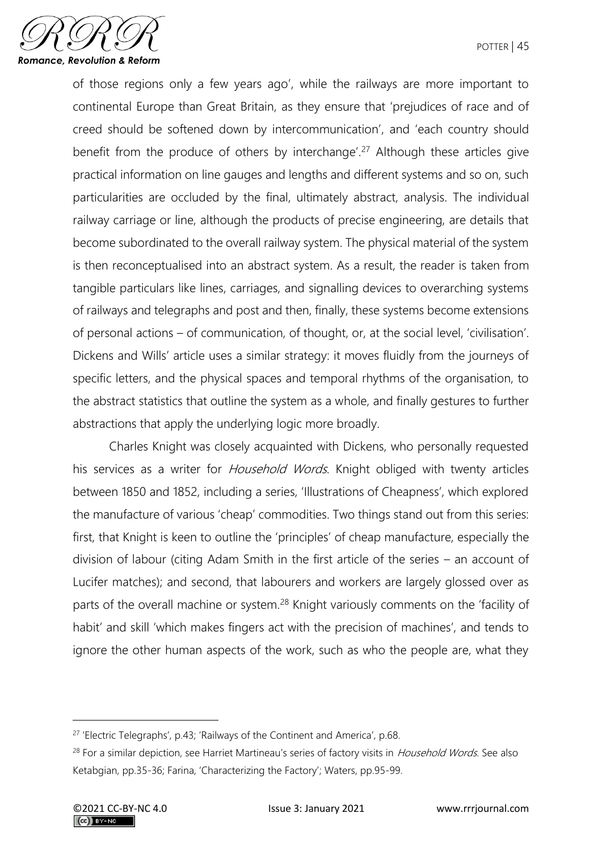

of those regions only a few years ago', while the railways are more important to continental Europe than Great Britain, as they ensure that 'prejudices of race and of creed should be softened down by intercommunication', and 'each country should benefit from the produce of others by interchange'.<sup>27</sup> Although these articles give practical information on line gauges and lengths and different systems and so on, such particularities are occluded by the final, ultimately abstract, analysis. The individual railway carriage or line, although the products of precise engineering, are details that become subordinated to the overall railway system. The physical material of the system is then reconceptualised into an abstract system. As a result, the reader is taken from tangible particulars like lines, carriages, and signalling devices to overarching systems of railways and telegraphs and post and then, finally, these systems become extensions of personal actions – of communication, of thought, or, at the social level, 'civilisation'. Dickens and Wills' article uses a similar strategy: it moves fluidly from the journeys of specific letters, and the physical spaces and temporal rhythms of the organisation, to the abstract statistics that outline the system as a whole, and finally gestures to further abstractions that apply the underlying logic more broadly.

Charles Knight was closely acquainted with Dickens, who personally requested his services as a writer for *Household Words*. Knight obliged with twenty articles between 1850 and 1852, including a series, 'Illustrations of Cheapness', which explored the manufacture of various 'cheap' commodities. Two things stand out from this series: first, that Knight is keen to outline the 'principles' of cheap manufacture, especially the division of labour (citing Adam Smith in the first article of the series – an account of Lucifer matches); and second, that labourers and workers are largely glossed over as parts of the overall machine or system.<sup>28</sup> Knight variously comments on the 'facility of habit' and skill 'which makes fingers act with the precision of machines', and tends to ignore the other human aspects of the work, such as who the people are, what they

<sup>&</sup>lt;sup>27</sup> 'Electric Telegraphs', p.43; 'Railways of the Continent and America', p.68.

<sup>&</sup>lt;sup>28</sup> For a similar depiction, see Harriet Martineau's series of factory visits in Household Words. See also Ketabgian, pp.35-36; Farina, 'Characterizing the Factory'; Waters, pp.95-99.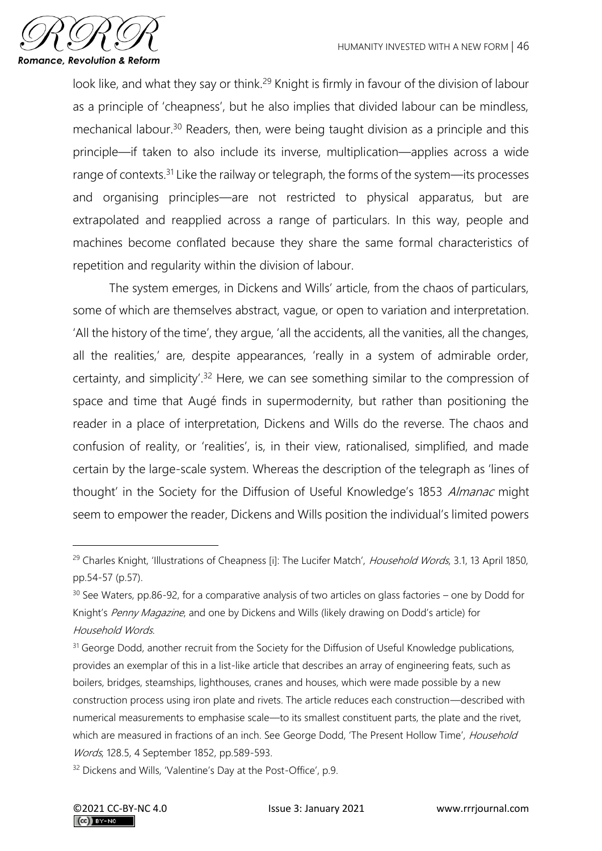

look like, and what they say or think.<sup>29</sup> Knight is firmly in favour of the division of labour as a principle of 'cheapness', but he also implies that divided labour can be mindless, mechanical labour.<sup>30</sup> Readers, then, were being taught division as a principle and this principle—if taken to also include its inverse, multiplication—applies across a wide range of contexts.<sup>31</sup> Like the railway or telegraph, the forms of the system—its processes and organising principles—are not restricted to physical apparatus, but are extrapolated and reapplied across a range of particulars. In this way, people and machines become conflated because they share the same formal characteristics of repetition and regularity within the division of labour.

The system emerges, in Dickens and Wills' article, from the chaos of particulars, some of which are themselves abstract, vague, or open to variation and interpretation. 'All the history of the time', they argue, 'all the accidents, all the vanities, all the changes, all the realities,' are, despite appearances, 'really in a system of admirable order, certainty, and simplicity'.<sup>32</sup> Here, we can see something similar to the compression of space and time that Augé finds in supermodernity, but rather than positioning the reader in a place of interpretation, Dickens and Wills do the reverse. The chaos and confusion of reality, or 'realities', is, in their view, rationalised, simplified, and made certain by the large-scale system. Whereas the description of the telegraph as 'lines of thought' in the Society for the Diffusion of Useful Knowledge's 1853 Almanac might seem to empower the reader, Dickens and Wills position the individual's limited powers

<sup>32</sup> Dickens and Wills, 'Valentine's Day at the Post-Office', p.9.

<sup>&</sup>lt;sup>29</sup> Charles Knight, 'Illustrations of Cheapness [i]: The Lucifer Match', Household Words, 3.1, 13 April 1850, pp.54-57 (p.57).

<sup>&</sup>lt;sup>30</sup> See Waters, pp.86-92, for a comparative analysis of two articles on glass factories – one by Dodd for Knight's Penny Magazine, and one by Dickens and Wills (likely drawing on Dodd's article) for Household Words.

<sup>&</sup>lt;sup>31</sup> George Dodd, another recruit from the Society for the Diffusion of Useful Knowledge publications, provides an exemplar of this in a list-like article that describes an array of engineering feats, such as boilers, bridges, steamships, lighthouses, cranes and houses, which were made possible by a new construction process using iron plate and rivets. The article reduces each construction—described with numerical measurements to emphasise scale—to its smallest constituent parts, the plate and the rivet, which are measured in fractions of an inch. See George Dodd, 'The Present Hollow Time', Household Words, 128.5, 4 September 1852, pp.589-593.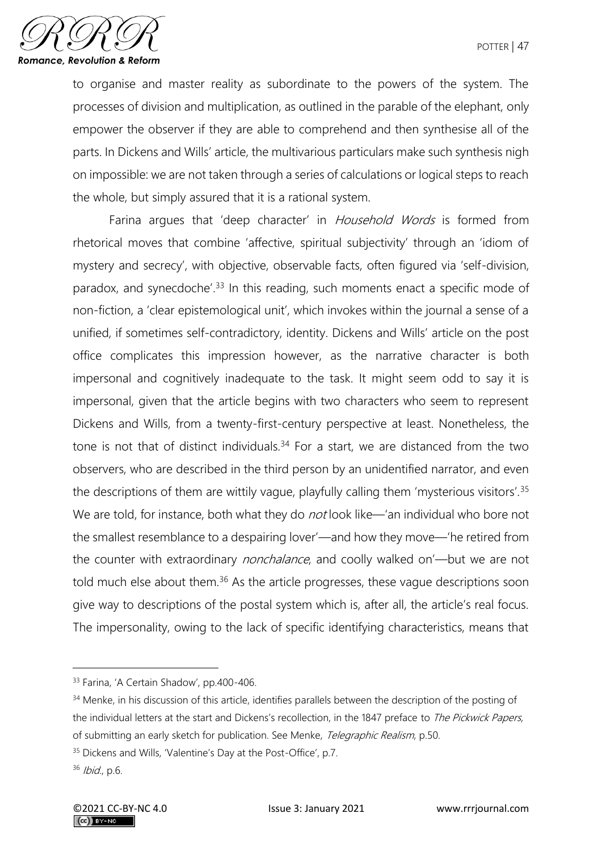

to organise and master reality as subordinate to the powers of the system. The processes of division and multiplication, as outlined in the parable of the elephant, only empower the observer if they are able to comprehend and then synthesise all of the parts. In Dickens and Wills' article, the multivarious particulars make such synthesis nigh on impossible: we are not taken through a series of calculations or logical steps to reach the whole, but simply assured that it is a rational system.

Farina argues that 'deep character' in Household Words is formed from rhetorical moves that combine 'affective, spiritual subjectivity' through an 'idiom of mystery and secrecy', with objective, observable facts, often figured via 'self-division, paradox, and synecdoche<sup>', 33</sup> In this reading, such moments enact a specific mode of non-fiction, a 'clear epistemological unit', which invokes within the journal a sense of a unified, if sometimes self-contradictory, identity. Dickens and Wills' article on the post office complicates this impression however, as the narrative character is both impersonal and cognitively inadequate to the task. It might seem odd to say it is impersonal, given that the article begins with two characters who seem to represent Dickens and Wills, from a twenty-first-century perspective at least. Nonetheless, the tone is not that of distinct individuals.<sup>34</sup> For a start, we are distanced from the two observers, who are described in the third person by an unidentified narrator, and even the descriptions of them are wittily vague, playfully calling them 'mysterious visitors'.<sup>35</sup> We are told, for instance, both what they do *not* look like—'an individual who bore not the smallest resemblance to a despairing lover'—and how they move—'he retired from the counter with extraordinary *nonchalance*, and coolly walked on'—but we are not told much else about them.<sup>36</sup> As the article progresses, these vague descriptions soon give way to descriptions of the postal system which is, after all, the article's real focus. The impersonality, owing to the lack of specific identifying characteristics, means that

<sup>&</sup>lt;sup>33</sup> Farina, 'A Certain Shadow', pp.400-406.

<sup>&</sup>lt;sup>34</sup> Menke, in his discussion of this article, identifies parallels between the description of the posting of the individual letters at the start and Dickens's recollection, in the 1847 preface to The Pickwick Papers, of submitting an early sketch for publication. See Menke, Telegraphic Realism, p.50.

<sup>&</sup>lt;sup>35</sup> Dickens and Wills, 'Valentine's Day at the Post-Office', p.7.

<sup>36</sup> Ibid., p.6.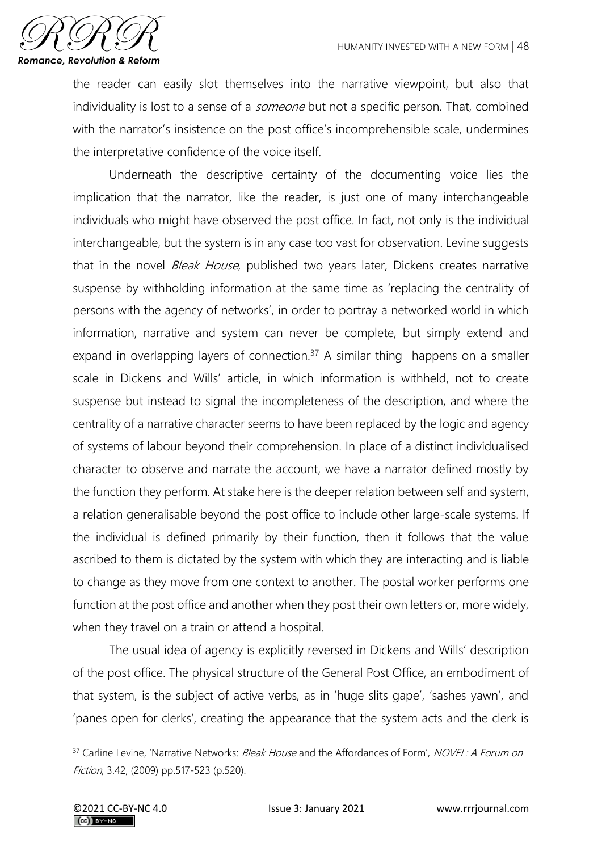

the reader can easily slot themselves into the narrative viewpoint, but also that individuality is lost to a sense of a *someone* but not a specific person. That, combined with the narrator's insistence on the post office's incomprehensible scale, undermines the interpretative confidence of the voice itself.

Underneath the descriptive certainty of the documenting voice lies the implication that the narrator, like the reader, is just one of many interchangeable individuals who might have observed the post office. In fact, not only is the individual interchangeable, but the system is in any case too vast for observation. Levine suggests that in the novel *Bleak House*, published two years later, Dickens creates narrative suspense by withholding information at the same time as 'replacing the centrality of persons with the agency of networks', in order to portray a networked world in which information, narrative and system can never be complete, but simply extend and expand in overlapping layers of connection.<sup>37</sup> A similar thing happens on a smaller scale in Dickens and Wills' article, in which information is withheld, not to create suspense but instead to signal the incompleteness of the description, and where the centrality of a narrative character seems to have been replaced by the logic and agency of systems of labour beyond their comprehension. In place of a distinct individualised character to observe and narrate the account, we have a narrator defined mostly by the function they perform. At stake here is the deeper relation between self and system, a relation generalisable beyond the post office to include other large-scale systems. If the individual is defined primarily by their function, then it follows that the value ascribed to them is dictated by the system with which they are interacting and is liable to change as they move from one context to another. The postal worker performs one function at the post office and another when they post their own letters or, more widely, when they travel on a train or attend a hospital.

The usual idea of agency is explicitly reversed in Dickens and Wills' description of the post office. The physical structure of the General Post Office, an embodiment of that system, is the subject of active verbs, as in 'huge slits gape', 'sashes yawn', and 'panes open for clerks', creating the appearance that the system acts and the clerk is

<sup>&</sup>lt;sup>37</sup> Carline Levine, 'Narrative Networks: Bleak House and the Affordances of Form', NOVEL: A Forum on Fiction, 3.42, (2009) pp.517-523 (p.520).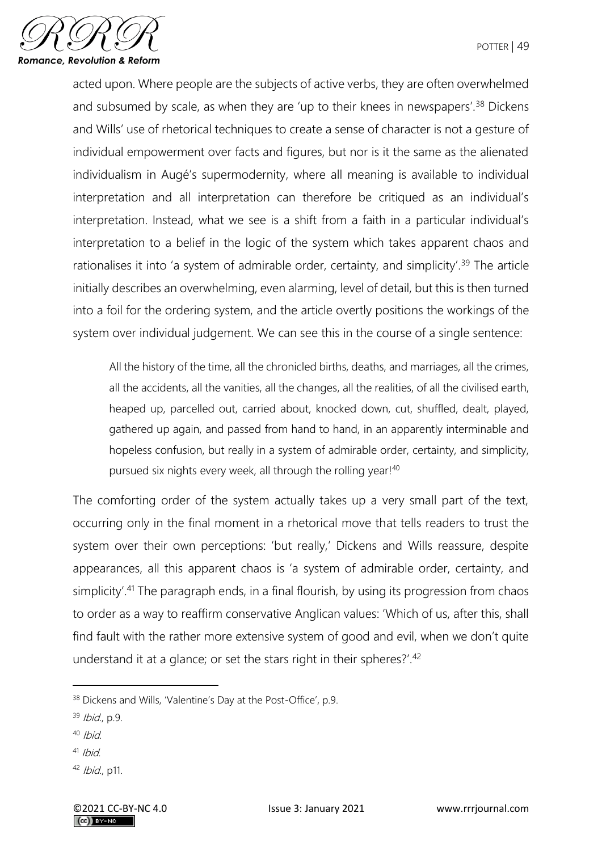

acted upon. Where people are the subjects of active verbs, they are often overwhelmed and subsumed by scale, as when they are 'up to their knees in newspapers'.<sup>38</sup> Dickens and Wills' use of rhetorical techniques to create a sense of character is not a gesture of individual empowerment over facts and figures, but nor is it the same as the alienated individualism in Augé's supermodernity, where all meaning is available to individual interpretation and all interpretation can therefore be critiqued as an individual's interpretation. Instead, what we see is a shift from a faith in a particular individual's interpretation to a belief in the logic of the system which takes apparent chaos and rationalises it into 'a system of admirable order, certainty, and simplicity'.<sup>39</sup> The article initially describes an overwhelming, even alarming, level of detail, but this is then turned into a foil for the ordering system, and the article overtly positions the workings of the system over individual judgement. We can see this in the course of a single sentence:

All the history of the time, all the chronicled births, deaths, and marriages, all the crimes, all the accidents, all the vanities, all the changes, all the realities, of all the civilised earth, heaped up, parcelled out, carried about, knocked down, cut, shuffled, dealt, played, gathered up again, and passed from hand to hand, in an apparently interminable and hopeless confusion, but really in a system of admirable order, certainty, and simplicity, pursued six nights every week, all through the rolling year!<sup>40</sup>

The comforting order of the system actually takes up a very small part of the text, occurring only in the final moment in a rhetorical move that tells readers to trust the system over their own perceptions: 'but really,' Dickens and Wills reassure, despite appearances, all this apparent chaos is 'a system of admirable order, certainty, and simplicity'.<sup>41</sup> The paragraph ends, in a final flourish, by using its progression from chaos to order as a way to reaffirm conservative Anglican values: 'Which of us, after this, shall find fault with the rather more extensive system of good and evil, when we don't quite understand it at a glance; or set the stars right in their spheres?'.<sup>42</sup>

- $40$  Ibid.
- $41$  Ibid
- <sup>42</sup> Ibid., p11.

<sup>&</sup>lt;sup>38</sup> Dickens and Wills, 'Valentine's Day at the Post-Office', p.9.

 $39$  Ibid., p.9.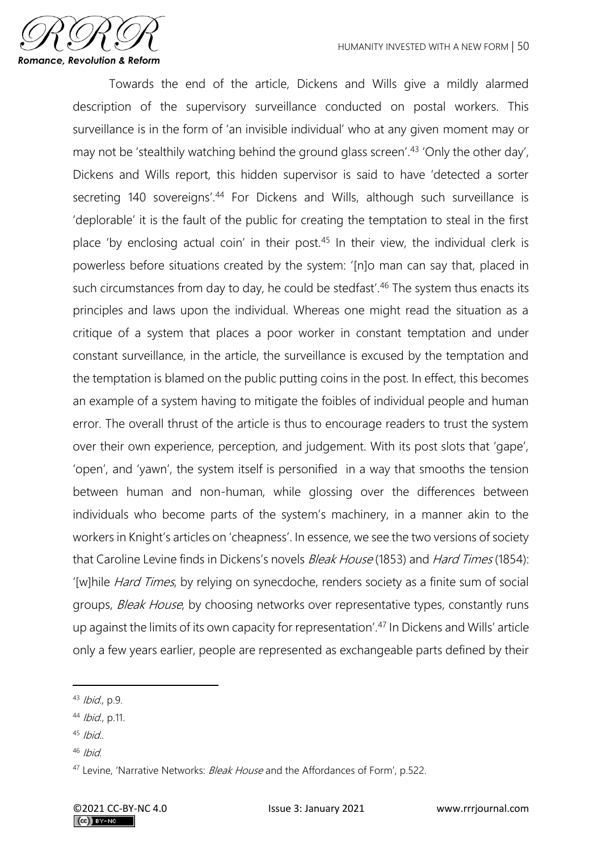

Towards the end of the article, Dickens and Wills give a mildly alarmed description of the supervisory surveillance conducted on postal workers. This surveillance is in the form of 'an invisible individual' who at any given moment may or may not be 'stealthily watching behind the ground glass screen'.<sup>43</sup> 'Only the other day', Dickens and Wills report, this hidden supervisor is said to have 'detected a sorter secreting 140 sovereigns'.<sup>44</sup> For Dickens and Wills, although such surveillance is 'deplorable' it is the fault of the public for creating the temptation to steal in the first place 'by enclosing actual coin' in their post.<sup>45</sup> In their view, the individual clerk is powerless before situations created by the system: '[n]o man can say that, placed in such circumstances from day to day, he could be stedfast'.<sup>46</sup> The system thus enacts its principles and laws upon the individual. Whereas one might read the situation as a critique of a system that places a poor worker in constant temptation and under constant surveillance, in the article, the surveillance is excused by the temptation and the temptation is blamed on the public putting coins in the post. In effect, this becomes an example of a system having to mitigate the foibles of individual people and human error. The overall thrust of the article is thus to encourage readers to trust the system over their own experience, perception, and judgement. With its post slots that 'gape', 'open', and 'yawn', the system itself is personified in a way that smooths the tension between human and non-human, while glossing over the differences between individuals who become parts of the system's machinery, in a manner akin to the workers in Knight's articles on 'cheapness'. In essence, we see the two versions of society that Caroline Levine finds in Dickens's novels *Bleak House* (1853) and *Hard Times* (1854): '[w]hile Hard Times, by relying on synecdoche, renders society as a finite sum of social groups, Bleak House, by choosing networks over representative types, constantly runs up against the limits of its own capacity for representation'.<sup>47</sup> In Dickens and Wills' article only a few years earlier, people are represented as exchangeable parts defined by their

- $45$  Ibid..
- $46$  Ibid

<sup>43</sup> Ibid., p.9.

<sup>44</sup> Ibid., p.11.

<sup>&</sup>lt;sup>47</sup> Levine, 'Narrative Networks: *Bleak House* and the Affordances of Form', p.522.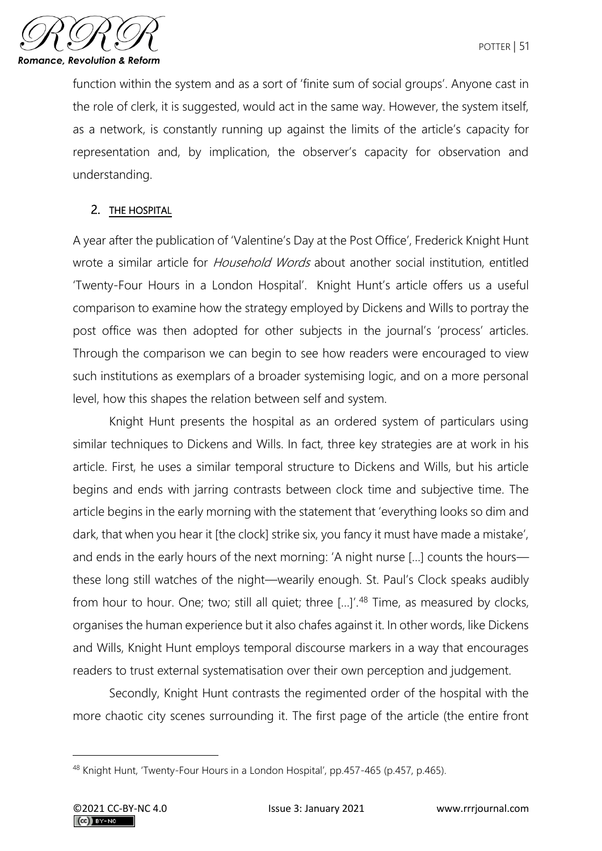

function within the system and as a sort of 'finite sum of social groups'. Anyone cast in the role of clerk, it is suggested, would act in the same way. However, the system itself, as a network, is constantly running up against the limits of the article's capacity for representation and, by implication, the observer's capacity for observation and understanding.

## 2. THE HOSPITAL

A year after the publication of 'Valentine's Day at the Post Office', Frederick Knight Hunt wrote a similar article for *Household Words* about another social institution, entitled 'Twenty-Four Hours in a London Hospital'. Knight Hunt's article offers us a useful comparison to examine how the strategy employed by Dickens and Wills to portray the post office was then adopted for other subjects in the journal's 'process' articles. Through the comparison we can begin to see how readers were encouraged to view such institutions as exemplars of a broader systemising logic, and on a more personal level, how this shapes the relation between self and system.

Knight Hunt presents the hospital as an ordered system of particulars using similar techniques to Dickens and Wills. In fact, three key strategies are at work in his article. First, he uses a similar temporal structure to Dickens and Wills, but his article begins and ends with jarring contrasts between clock time and subjective time. The article begins in the early morning with the statement that 'everything looks so dim and dark, that when you hear it [the clock] strike six, you fancy it must have made a mistake', and ends in the early hours of the next morning: 'A night nurse […] counts the hours these long still watches of the night—wearily enough. St. Paul's Clock speaks audibly from hour to hour. One; two; still all quiet; three [...]'.<sup>48</sup> Time, as measured by clocks, organises the human experience but it also chafes against it. In other words, like Dickens and Wills, Knight Hunt employs temporal discourse markers in a way that encourages readers to trust external systematisation over their own perception and judgement.

Secondly, Knight Hunt contrasts the regimented order of the hospital with the more chaotic city scenes surrounding it. The first page of the article (the entire front

<sup>48</sup> Knight Hunt, 'Twenty-Four Hours in a London Hospital', pp.457-465 (p.457, p.465).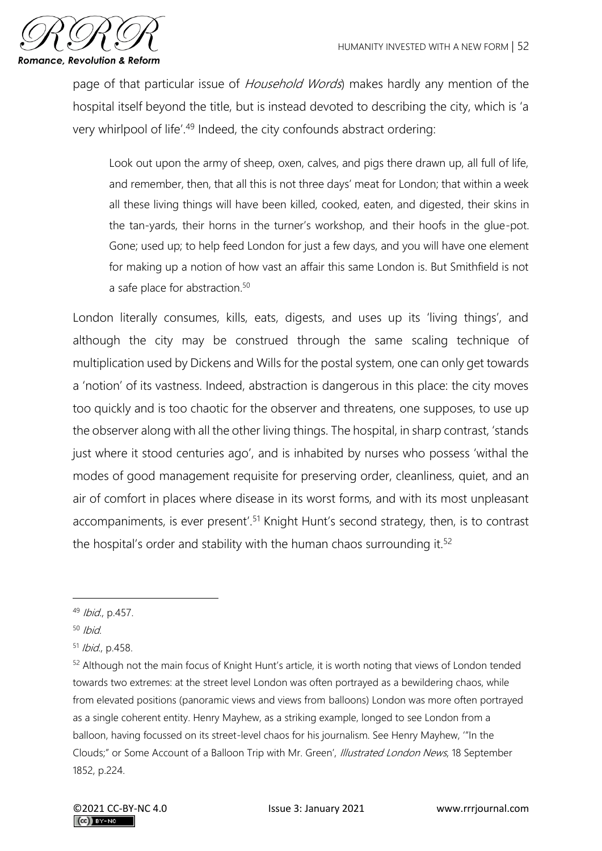

page of that particular issue of Household Words) makes hardly any mention of the hospital itself beyond the title, but is instead devoted to describing the city, which is 'a very whirlpool of life'.<sup>49</sup> Indeed, the city confounds abstract ordering:

Look out upon the army of sheep, oxen, calves, and pigs there drawn up, all full of life, and remember, then, that all this is not three days' meat for London; that within a week all these living things will have been killed, cooked, eaten, and digested, their skins in the tan-yards, their horns in the turner's workshop, and their hoofs in the glue-pot. Gone; used up; to help feed London for just a few days, and you will have one element for making up a notion of how vast an affair this same London is. But Smithfield is not a safe place for abstraction.<sup>50</sup>

London literally consumes, kills, eats, digests, and uses up its 'living things', and although the city may be construed through the same scaling technique of multiplication used by Dickens and Wills for the postal system, one can only get towards a 'notion' of its vastness. Indeed, abstraction is dangerous in this place: the city moves too quickly and is too chaotic for the observer and threatens, one supposes, to use up the observer along with all the other living things. The hospital, in sharp contrast, 'stands just where it stood centuries ago', and is inhabited by nurses who possess 'withal the modes of good management requisite for preserving order, cleanliness, quiet, and an air of comfort in places where disease in its worst forms, and with its most unpleasant accompaniments, is ever present'.<sup>51</sup> Knight Hunt's second strategy, then, is to contrast the hospital's order and stability with the human chaos surrounding it.<sup>52</sup>

<sup>49</sup> Ibid., p.457.

 $50$  Ibid.

<sup>51</sup> Ibid., p.458.

<sup>52</sup> Although not the main focus of Knight Hunt's article, it is worth noting that views of London tended towards two extremes: at the street level London was often portrayed as a bewildering chaos, while from elevated positions (panoramic views and views from balloons) London was more often portrayed as a single coherent entity. Henry Mayhew, as a striking example, longed to see London from a balloon, having focussed on its street-level chaos for his journalism. See Henry Mayhew, '"In the Clouds;" or Some Account of a Balloon Trip with Mr. Green', Illustrated London News, 18 September 1852, p.224.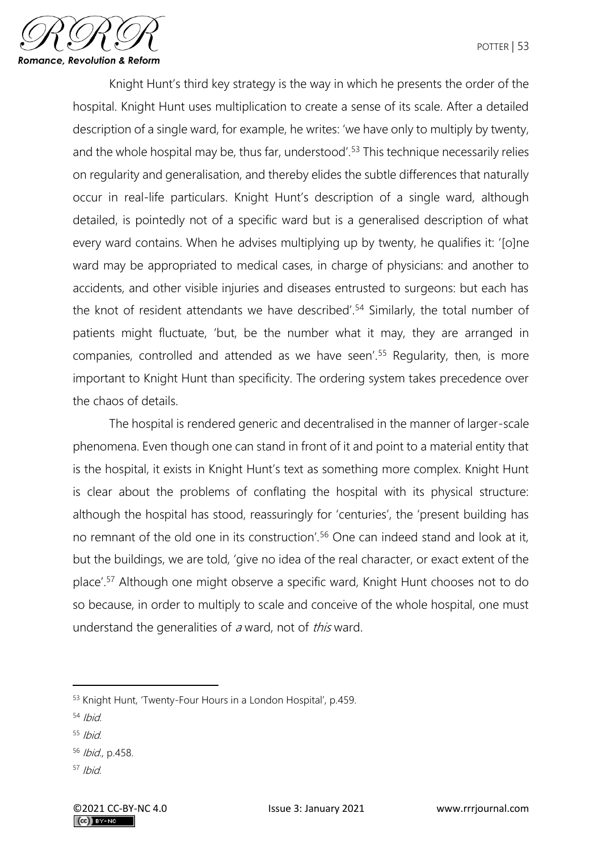

Knight Hunt's third key strategy is the way in which he presents the order of the hospital. Knight Hunt uses multiplication to create a sense of its scale. After a detailed description of a single ward, for example, he writes: 'we have only to multiply by twenty, and the whole hospital may be, thus far, understood'.<sup>53</sup> This technique necessarily relies on regularity and generalisation, and thereby elides the subtle differences that naturally occur in real-life particulars. Knight Hunt's description of a single ward, although detailed, is pointedly not of a specific ward but is a generalised description of what every ward contains. When he advises multiplying up by twenty, he qualifies it: '[o]ne ward may be appropriated to medical cases, in charge of physicians: and another to accidents, and other visible injuries and diseases entrusted to surgeons: but each has the knot of resident attendants we have described'.<sup>54</sup> Similarly, the total number of patients might fluctuate, 'but, be the number what it may, they are arranged in companies, controlled and attended as we have seen'.<sup>55</sup> Regularity, then, is more important to Knight Hunt than specificity. The ordering system takes precedence over the chaos of details.

The hospital is rendered generic and decentralised in the manner of larger-scale phenomena. Even though one can stand in front of it and point to a material entity that is the hospital, it exists in Knight Hunt's text as something more complex. Knight Hunt is clear about the problems of conflating the hospital with its physical structure: although the hospital has stood, reassuringly for 'centuries', the 'present building has no remnant of the old one in its construction'.<sup>56</sup> One can indeed stand and look at it, but the buildings, we are told, 'give no idea of the real character, or exact extent of the place'.<sup>57</sup> Although one might observe a specific ward, Knight Hunt chooses not to do so because, in order to multiply to scale and conceive of the whole hospital, one must understand the generalities of a ward, not of this ward.

- $54$  Ibid
- $55$  Ibid.
- <sup>56</sup> Ibid., p.458.
- $57$  Ibid

<sup>53</sup> Knight Hunt, 'Twenty-Four Hours in a London Hospital', p.459.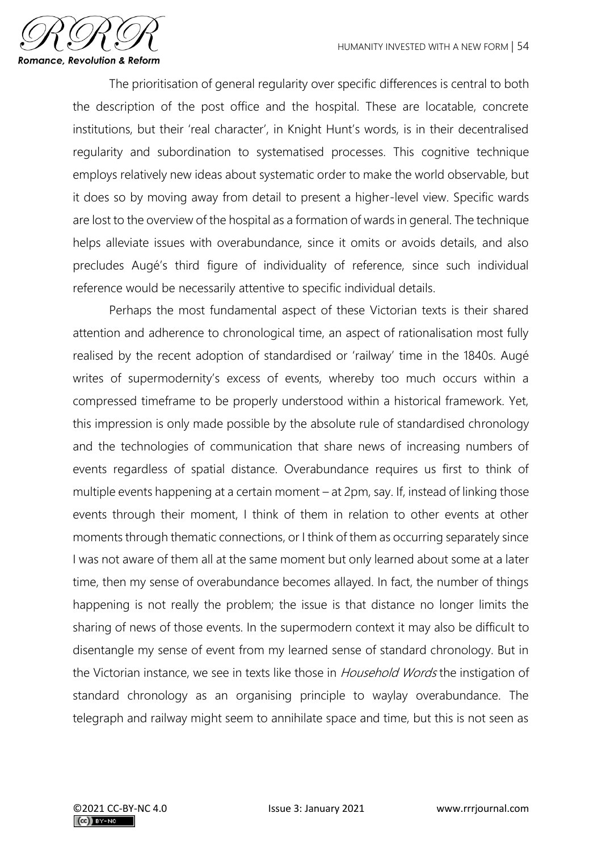

The prioritisation of general regularity over specific differences is central to both the description of the post office and the hospital. These are locatable, concrete institutions, but their 'real character', in Knight Hunt's words, is in their decentralised regularity and subordination to systematised processes. This cognitive technique employs relatively new ideas about systematic order to make the world observable, but it does so by moving away from detail to present a higher-level view. Specific wards are lost to the overview of the hospital as a formation of wards in general. The technique helps alleviate issues with overabundance, since it omits or avoids details, and also precludes Augé's third figure of individuality of reference, since such individual reference would be necessarily attentive to specific individual details.

Perhaps the most fundamental aspect of these Victorian texts is their shared attention and adherence to chronological time, an aspect of rationalisation most fully realised by the recent adoption of standardised or 'railway' time in the 1840s. Augé writes of supermodernity's excess of events, whereby too much occurs within a compressed timeframe to be properly understood within a historical framework. Yet, this impression is only made possible by the absolute rule of standardised chronology and the technologies of communication that share news of increasing numbers of events regardless of spatial distance. Overabundance requires us first to think of multiple events happening at a certain moment – at 2pm, say. If, instead of linking those events through their moment, I think of them in relation to other events at other moments through thematic connections, or I think of them as occurring separately since I was not aware of them all at the same moment but only learned about some at a later time, then my sense of overabundance becomes allayed. In fact, the number of things happening is not really the problem; the issue is that distance no longer limits the sharing of news of those events. In the supermodern context it may also be difficult to disentangle my sense of event from my learned sense of standard chronology. But in the Victorian instance, we see in texts like those in *Household Words* the instigation of standard chronology as an organising principle to waylay overabundance. The telegraph and railway might seem to annihilate space and time, but this is not seen as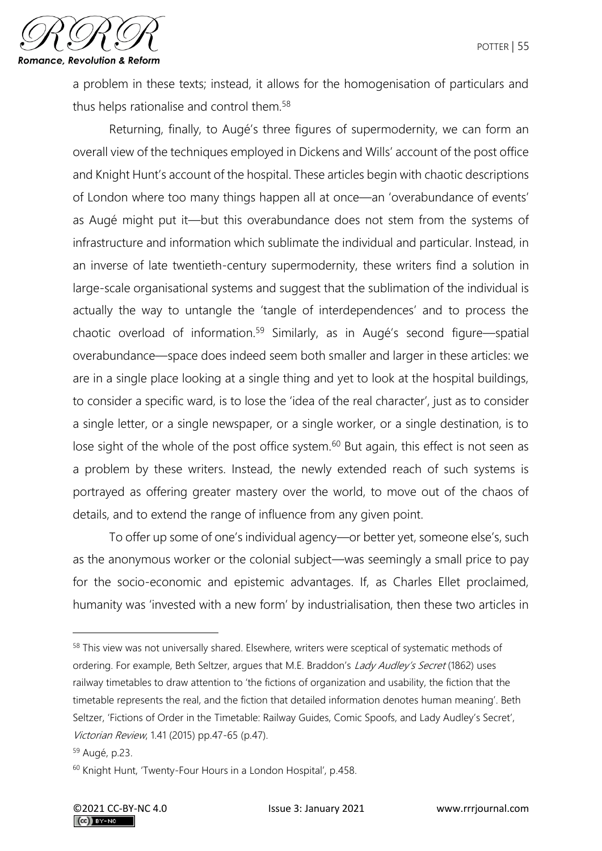

a problem in these texts; instead, it allows for the homogenisation of particulars and thus helps rationalise and control them.<sup>58</sup>

Returning, finally, to Augé's three figures of supermodernity, we can form an overall view of the techniques employed in Dickens and Wills' account of the post office and Knight Hunt's account of the hospital. These articles begin with chaotic descriptions of London where too many things happen all at once—an 'overabundance of events' as Augé might put it—but this overabundance does not stem from the systems of infrastructure and information which sublimate the individual and particular. Instead, in an inverse of late twentieth-century supermodernity, these writers find a solution in large-scale organisational systems and suggest that the sublimation of the individual is actually the way to untangle the 'tangle of interdependences' and to process the chaotic overload of information.<sup>59</sup> Similarly, as in Augé's second figure—spatial overabundance—space does indeed seem both smaller and larger in these articles: we are in a single place looking at a single thing and yet to look at the hospital buildings, to consider a specific ward, is to lose the 'idea of the real character', just as to consider a single letter, or a single newspaper, or a single worker, or a single destination, is to lose sight of the whole of the post office system.<sup>60</sup> But again, this effect is not seen as a problem by these writers. Instead, the newly extended reach of such systems is portrayed as offering greater mastery over the world, to move out of the chaos of details, and to extend the range of influence from any given point.

To offer up some of one's individual agency—or better yet, someone else's, such as the anonymous worker or the colonial subject—was seemingly a small price to pay for the socio-economic and epistemic advantages. If, as Charles Ellet proclaimed, humanity was 'invested with a new form' by industrialisation, then these two articles in

<sup>58</sup> This view was not universally shared. Elsewhere, writers were sceptical of systematic methods of ordering. For example, Beth Seltzer, argues that M.E. Braddon's Lady Audley's Secret (1862) uses railway timetables to draw attention to 'the fictions of organization and usability, the fiction that the timetable represents the real, and the fiction that detailed information denotes human meaning'. Beth Seltzer, 'Fictions of Order in the Timetable: Railway Guides, Comic Spoofs, and Lady Audley's Secret', Victorian Review, 1.41 (2015) pp.47-65 (p.47).

<sup>59</sup> Augé, p.23.

<sup>60</sup> Knight Hunt, 'Twenty-Four Hours in a London Hospital', p.458.